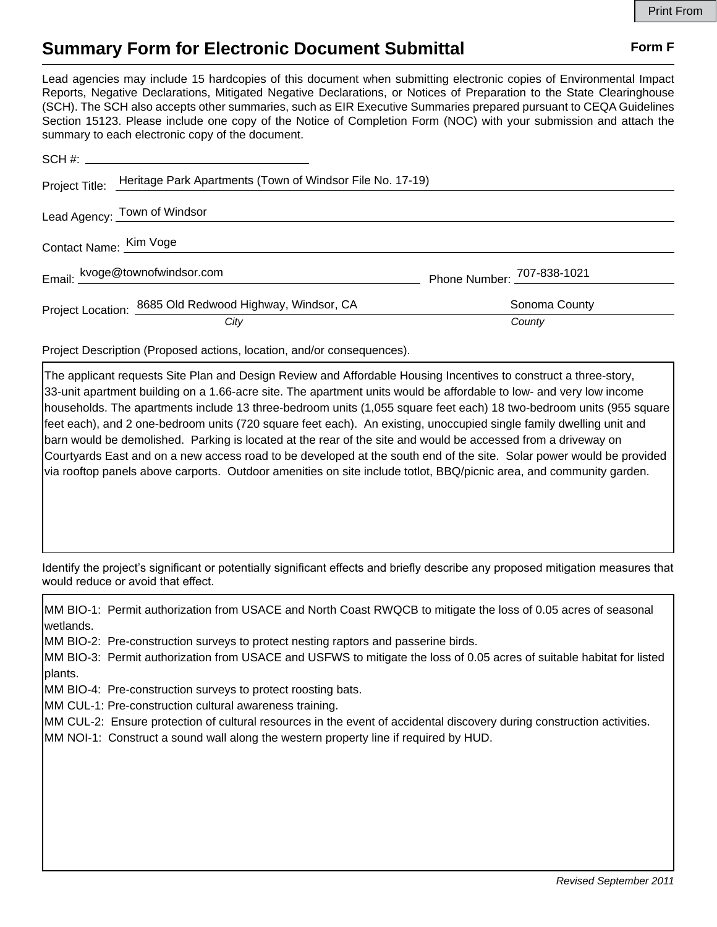## **Summary Form for Electronic Document Submittal Form F Form F**

Lead agencies may include 15 hardcopies of this document when submitting electronic copies of Environmental Impact Reports, Negative Declarations, Mitigated Negative Declarations, or Notices of Preparation to the State Clearinghouse (SCH). The SCH also accepts other summaries, such as EIR Executive Summaries prepared pursuant to CEQA Guidelines Section 15123. Please include one copy of the Notice of Completion Form (NOC) with your submission and attach the summary to each electronic copy of the document.

|                        | Project Title: Heritage Park Apartments (Town of Windsor File No. 17-19) |                            |
|------------------------|--------------------------------------------------------------------------|----------------------------|
|                        | Lead Agency: Town of Windsor                                             |                            |
| Contact Name: Kim Voge |                                                                          |                            |
|                        | Email: kvoge@townofwindsor.com                                           | Phone Number: 707-838-1021 |
|                        | Project Location: 8685 Old Redwood Highway, Windsor, CA                  | Sonoma County              |
|                        | City                                                                     | County                     |

Project Description (Proposed actions, location, and/or consequences).

The applicant requests Site Plan and Design Review and Affordable Housing Incentives to construct a three-story, 33-unit apartment building on a 1.66-acre site. The apartment units would be affordable to low- and very low income households. The apartments include 13 three-bedroom units (1,055 square feet each) 18 two-bedroom units (955 square feet each), and 2 one-bedroom units (720 square feet each). An existing, unoccupied single family dwelling unit and barn would be demolished. Parking is located at the rear of the site and would be accessed from a driveway on Courtyards East and on a new access road to be developed at the south end of the site. Solar power would be provided via rooftop panels above carports. Outdoor amenities on site include totlot, BBQ/picnic area, and community garden.

Identify the project's significant or potentially significant effects and briefly describe any proposed mitigation measures that would reduce or avoid that effect.

MM BIO-1: Permit authorization from USACE and North Coast RWQCB to mitigate the loss of 0.05 acres of seasonal wetlands.

MM BIO-2: Pre-construction surveys to protect nesting raptors and passerine birds.

MM BIO-3: Permit authorization from USACE and USFWS to mitigate the loss of 0.05 acres of suitable habitat for listed plants.

MM BIO-4: Pre-construction surveys to protect roosting bats.

MM CUL-1: Pre-construction cultural awareness training.

MM CUL-2: Ensure protection of cultural resources in the event of accidental discovery during construction activities.

MM NOI-1: Construct a sound wall along the western property line if required by HUD.